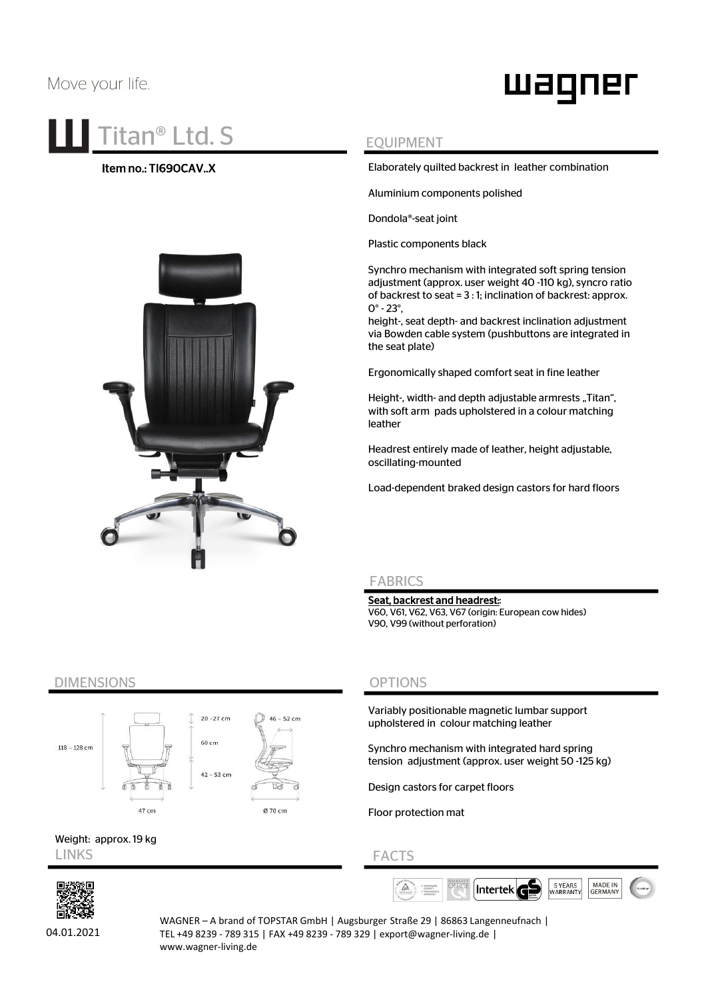# Move your life.

# waqner

# **Titan<sup>®</sup> Ltd. S** EQUIPMENT

## Item no.: TI690CAV..X



Elaborately quilted backrest in leather combination

Aluminium components polished

Dondola®-seat joint

Plastic components black

Synchro mechanism with integrated soft spring tension adjustment (approx. user weight 40 -110 kg), syncro ratio of backrest to seat = 3 : 1; inclination of backrest: approx. 0° - 23°,

height-, seat depth- and backrest inclination adjustment via Bowden cable system (pushbuttons are integrated in the seat plate)

Ergonomically shaped comfort seat in fine leather

Height-, width- and depth adjustable armrests .. Titan", with soft arm pads upholstered in a colour matching leather

Headrest entirely made of leather, height adjustable, oscillating-mounted

Load-dependent braked design castors for hard floors

### FABRICS

Seat, backrest and headrest:: V60, V61, V62, V63, V67 (origin: European cow hides) V90, V99 (without perforation)

# DIMENSIONS



# LINKS FACTS Weight: approx. 19 kg



04.01.2021

WAGNER – A brand of TOPSTAR GmbH | Augsburger Straße 29 | 86863 Langenneufnach | TEL +49 8239 - 789 315 | FAX +49 8239 - 789 329 | export@wagner-living.de | www.wagner-living.de

OPTIONS

Variably positionable magnetic lumbar support upholstered in colour matching leather

Synchro mechanism with integrated hard spring tension adjustment (approx. user weight 50 -125 kg)

Design castors for carpet floors

Floor protection mat